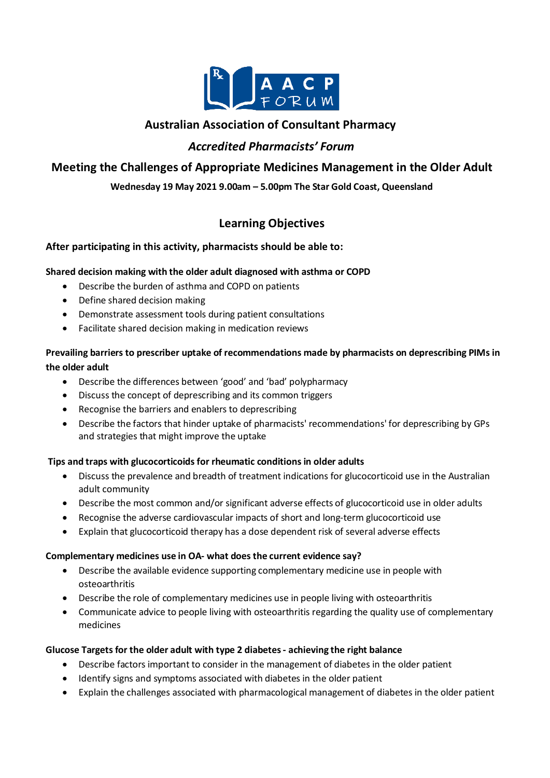

# **Australian Association of Consultant Pharmacy**

## *Accredited Pharmacists' Forum*

# **Meeting the Challenges of Appropriate Medicines Management in the Older Adult**

### **Wednesday 19 May 2021 9.00am – 5.00pm The Star Gold Coast, Queensland**

# **Learning Objectives**

### **After participating in this activity, pharmacists should be able to:**

### **Shared decision making with the older adult diagnosed with asthma or COPD**

- Describe the burden of asthma and COPD on patients
- Define shared decision making
- Demonstrate assessment tools during patient consultations
- Facilitate shared decision making in medication reviews

## **Prevailing barriers to prescriber uptake of recommendations made by pharmacists on deprescribing PIMs in the older adult**

- Describe the differences between 'good' and 'bad' polypharmacy
- Discuss the concept of deprescribing and its common triggers
- Recognise the barriers and enablers to deprescribing
- Describe the factors that hinder uptake of pharmacists' recommendations' for deprescribing by GPs and strategies that might improve the uptake

### **Tips and traps with glucocorticoids for rheumatic conditions in older adults**

- Discuss the prevalence and breadth of treatment indications for glucocorticoid use in the Australian adult community
- Describe the most common and/or significant adverse effects of glucocorticoid use in older adults
- Recognise the adverse cardiovascular impacts of short and long-term glucocorticoid use
- Explain that glucocorticoid therapy has a dose dependent risk of several adverse effects

### **Complementary medicines use in OA- what does the current evidence say?**

- Describe the available evidence supporting complementary medicine use in people with osteoarthritis
- Describe the role of complementary medicines use in people living with osteoarthritis
- Communicate advice to people living with osteoarthritis regarding the quality use of complementary medicines

### **Glucose Targets for the older adult with type 2 diabetes - achieving the right balance**

- Describe factors important to consider in the management of diabetes in the older patient
- Identify signs and symptoms associated with diabetes in the older patient
- Explain the challenges associated with pharmacological management of diabetes in the older patient